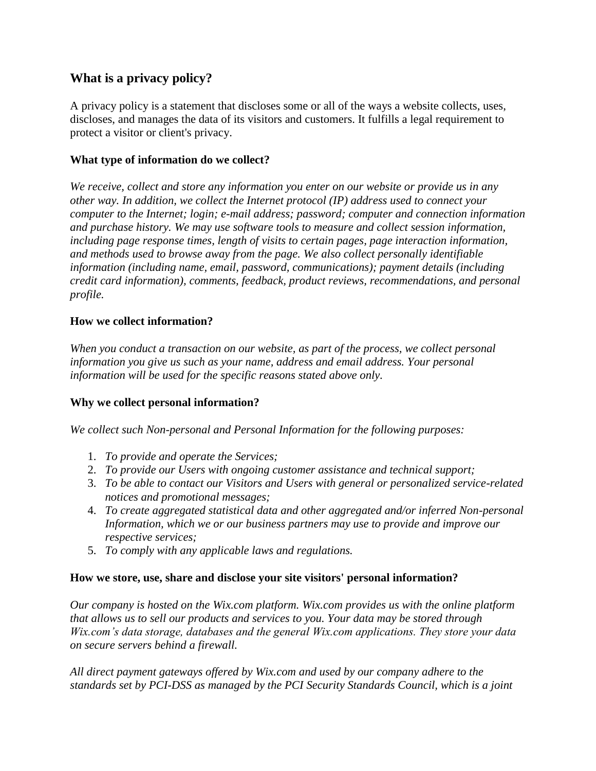# **What is a privacy policy?**

A privacy policy is a statement that discloses some or all of the ways a website collects, uses, discloses, and manages the data of its visitors and customers. It fulfills a legal requirement to protect a visitor or client's privacy.

## **What type of information do we collect?**

*We receive, collect and store any information you enter on our website or provide us in any other way. In addition, we collect the Internet protocol (IP) address used to connect your computer to the Internet; login; e-mail address; password; computer and connection information and purchase history. We may use software tools to measure and collect session information, including page response times, length of visits to certain pages, page interaction information, and methods used to browse away from the page. We also collect personally identifiable information (including name, email, password, communications); payment details (including credit card information), comments, feedback, product reviews, recommendations, and personal profile.*

## **How we collect information?**

*When you conduct a transaction on our website, as part of the process, we collect personal information you give us such as your name, address and email address. Your personal information will be used for the specific reasons stated above only.*

#### **Why we collect personal information?**

*We collect such Non-personal and Personal Information for the following purposes:*

- 1. *To provide and operate the Services;*
- 2. *To provide our Users with ongoing customer assistance and technical support;*
- 3. *To be able to contact our Visitors and Users with general or personalized service-related notices and promotional messages;*
- 4. *To create aggregated statistical data and other aggregated and/or inferred Non-personal Information, which we or our business partners may use to provide and improve our respective services;*
- 5. *To comply with any applicable laws and regulations.*

#### **How we store, use, share and disclose your site visitors' personal information?**

*Our company is hosted on the Wix.com platform. Wix.com provides us with the online platform that allows us to sell our products and services to you. Your data may be stored through Wix.com's data storage, databases and the general Wix.com applications. They store your data on secure servers behind a firewall.*

*All direct payment gateways offered by Wix.com and used by our company adhere to the standards set by PCI-DSS as managed by the PCI Security Standards Council, which is a joint*